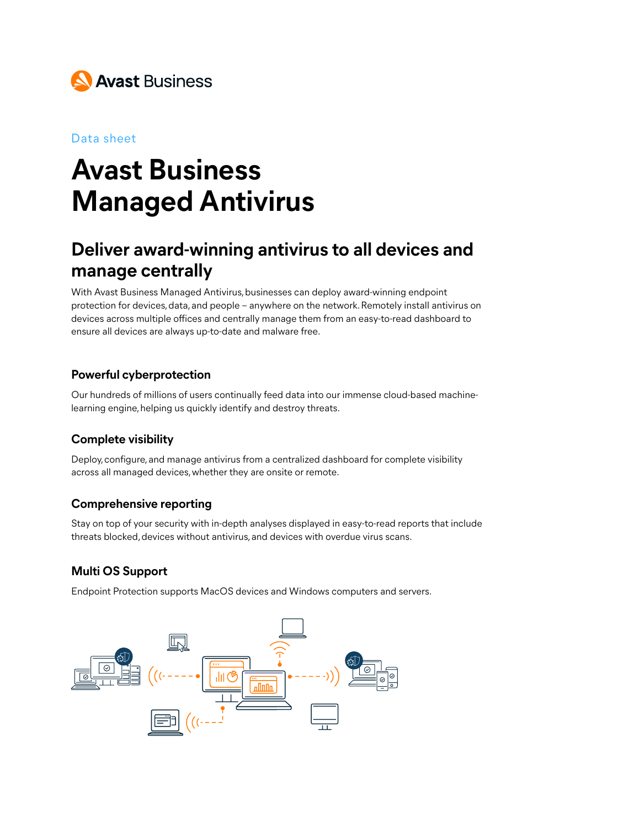

#### Data sheet

# **Avast Business Managed Antivirus**

## **Deliver award-winning antivirus to all devices and manage centrally**

With Avast Business Managed Antivirus, businesses can deploy award-winning endpoint protection for devices, data, and people – anywhere on the network. Remotely install antivirus on devices across multiple offices and centrally manage them from an easy-to-read dashboard to ensure all devices are always up-to-date and malware free.

#### **Powerful cyberprotection**

Our hundreds of millions of users continually feed data into our immense cloud-based machinelearning engine, helping us quickly identify and destroy threats.

### **Complete visibility**

Deploy, configure, and manage antivirus from a centralized dashboard for complete visibility across all managed devices, whether they are onsite or remote.

#### **Comprehensive reporting**

Stay on top of your security with in-depth analyses displayed in easy-to-read reports that include threats blocked, devices without antivirus, and devices with overdue virus scans.

### **Multi OS Support**

Endpoint Protection supports MacOS devices and Windows computers and servers.

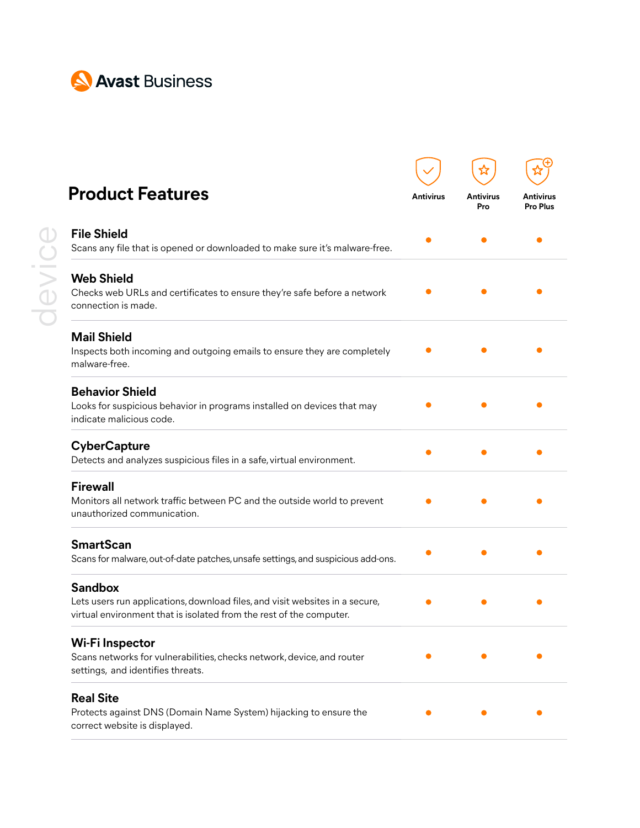

| <b>Product Features</b>                                                                                                                                               | <b>Antivirus</b> | <b>Antivirus</b><br>Pro | Antivirus<br><b>Pro Plus</b> |
|-----------------------------------------------------------------------------------------------------------------------------------------------------------------------|------------------|-------------------------|------------------------------|
| <b>File Shield</b><br>Scans any file that is opened or downloaded to make sure it's malware-free.                                                                     |                  |                         |                              |
| <b>Web Shield</b><br>Checks web URLs and certificates to ensure they're safe before a network<br>connection is made.                                                  |                  |                         |                              |
| <b>Mail Shield</b><br>Inspects both incoming and outgoing emails to ensure they are completely<br>malware-free.                                                       |                  |                         |                              |
| <b>Behavior Shield</b><br>Looks for suspicious behavior in programs installed on devices that may<br>indicate malicious code.                                         |                  |                         |                              |
| <b>CyberCapture</b><br>Detects and analyzes suspicious files in a safe, virtual environment.                                                                          |                  |                         |                              |
| <b>Firewall</b><br>Monitors all network traffic between PC and the outside world to prevent<br>unauthorized communication.                                            |                  |                         |                              |
| <b>SmartScan</b><br>Scans for malware, out-of-date patches, unsafe settings, and suspicious add-ons.                                                                  |                  |                         |                              |
| <b>Sandbox</b><br>Lets users run applications, download files, and visit websites in a secure,<br>virtual environment that is isolated from the rest of the computer. |                  |                         |                              |
| Wi-Fi Inspector<br>Scans networks for vulnerabilities, checks network, device, and router<br>settings, and identifies threats.                                        |                  |                         |                              |
| <b>Real Site</b><br>Protects against DNS (Domain Name System) hijacking to ensure the<br>correct website is displayed.                                                |                  |                         |                              |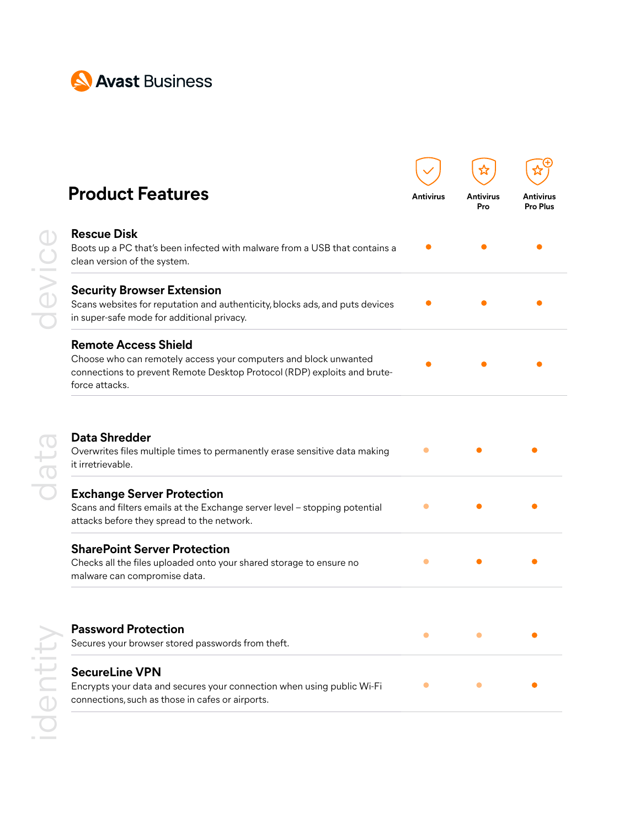

| <b>Product Features</b>                                                                                                                                                                       | <b>Antivirus</b> | <b>Antivirus</b><br>Pro | Antivirus<br><b>Pro Plus</b> |
|-----------------------------------------------------------------------------------------------------------------------------------------------------------------------------------------------|------------------|-------------------------|------------------------------|
|                                                                                                                                                                                               |                  |                         |                              |
| <b>Rescue Disk</b><br>Boots up a PC that's been infected with malware from a USB that contains a<br>clean version of the system.                                                              |                  |                         |                              |
| <b>Security Browser Extension</b><br>Scans websites for reputation and authenticity, blocks ads, and puts devices<br>in super-safe mode for additional privacy.                               |                  |                         |                              |
| <b>Remote Access Shield</b><br>Choose who can remotely access your computers and block unwanted<br>connections to prevent Remote Desktop Protocol (RDP) exploits and brute-<br>force attacks. |                  |                         |                              |
| <b>Data Shredder</b><br>Overwrites files multiple times to permanently erase sensitive data making<br>it irretrievable.                                                                       |                  |                         |                              |
| <b>Exchange Server Protection</b><br>Scans and filters emails at the Exchange server level - stopping potential<br>attacks before they spread to the network.                                 |                  |                         |                              |
| <b>SharePoint Server Protection</b><br>Checks all the files uploaded onto your shared storage to ensure no<br>malware can compromise data.                                                    |                  |                         |                              |
| <b>Password Protection</b>                                                                                                                                                                    | $\bullet$        | $\bullet$               |                              |
| Secures your browser stored passwords from theft.                                                                                                                                             |                  |                         |                              |
| <b>SecureLine VPN</b>                                                                                                                                                                         | $\bullet$        | $\bullet$               |                              |